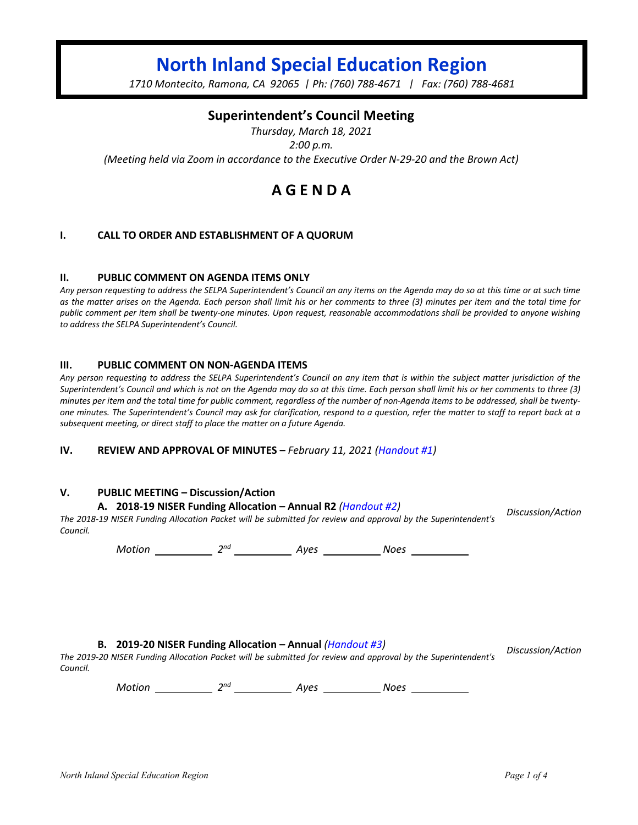# **North Inland Special Education Region**

*1710 Montecito, Ramona, CA 92065 | Ph: (760) 788-4671 | Fax: (760) 788-4681*

## **Superintendent's Council Meeting**

*Thursday, March 18, 2021 2:00 p.m. (Meeting held via Zoom in accordance to the Executive Order N-29-20 and the Brown Act)*

## **A G E N D A**

#### **I. CALL TO ORDER AND ESTABLISHMENT OF A QUORUM**

#### **II. PUBLIC COMMENT ON AGENDA ITEMS ONLY**

*Any person requesting to address the SELPA Superintendent's Council an any items on the Agenda may do so at this time or at such time as the matter arises on the Agenda. Each person shall limit his or her comments to three (3) minutes per item and the total time for public comment per item shall be twenty-one minutes. Upon request, reasonable accommodations shall be provided to anyone wishing to address the SELPA Superintendent's Council.*

#### **III. PUBLIC COMMENT ON NON-AGENDA ITEMS**

*Any person requesting to address the SELPA Superintendent's Council on any item that is within the subject matter jurisdiction of the Superintendent's Council and which is not on the Agenda may do so at this time. Each person shall limit his or her comments to three (3) minutes per item and the total time for public comment, regardless of the number of non-Agenda items to be addressed, shall be twentyone minutes. The Superintendent's Council may ask for clarification, respond to a question, refer the matter to staff to report back at a subsequent meeting, or direct staff to place the matter on a future Agenda.*

**IV. REVIEW AND APPROVAL OF MINUTES –** *February 11, 2021 (Handout #1)*

#### **V. PUBLIC MEETING – Discussion/Action**

#### **A. 2018-19 NISER Funding Allocation – Annual R2** *(Handout #2)*

*The 2018-19 NISER Funding Allocation Packet will be submitted for review and approval by the Superintendent's Council. Discussion/Action*

*Motion* 2<sup>nd</sup> 2<sup>nd</sup> 4yes 2008 2008

**B. 2019-20 NISER Funding Allocation – Annual** *(Handout #3)*

*Discussion/Action*

*The 2019-20 NISER Funding Allocation Packet will be submitted for review and approval by the Superintendent's Council.*

*Motion* 2<sup>nd</sup> 2<sup>nd</sup> Ayes Noes Noes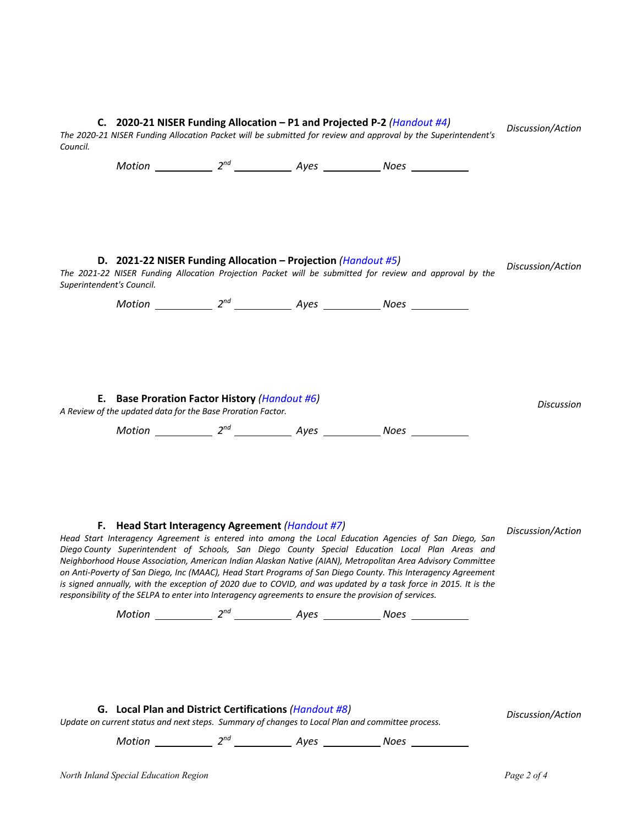| C. 2020-21 NISER Funding Allocation – P1 and Projected P-2 (Handout #4)<br>The 2020-21 NISER Funding Allocation Packet will be submitted for review and approval by the Superintendent's                                                                                                                                                                                                                                                                                                                                                                                                                                                                                                                                 |                                                                                                                                                            |  |  |                                                                                                         | Discussion/Action |
|--------------------------------------------------------------------------------------------------------------------------------------------------------------------------------------------------------------------------------------------------------------------------------------------------------------------------------------------------------------------------------------------------------------------------------------------------------------------------------------------------------------------------------------------------------------------------------------------------------------------------------------------------------------------------------------------------------------------------|------------------------------------------------------------------------------------------------------------------------------------------------------------|--|--|---------------------------------------------------------------------------------------------------------|-------------------|
| Council.                                                                                                                                                                                                                                                                                                                                                                                                                                                                                                                                                                                                                                                                                                                 |                                                                                                                                                            |  |  |                                                                                                         |                   |
|                                                                                                                                                                                                                                                                                                                                                                                                                                                                                                                                                                                                                                                                                                                          | D. 2021-22 NISER Funding Allocation – Projection ( <i>Handout #5)</i><br>Superintendent's Council.                                                         |  |  | The 2021-22 NISER Funding Allocation Projection Packet will be submitted for review and approval by the | Discussion/Action |
| E. Base Proration Factor History (Handout #6)<br>A Review of the updated data for the Base Proration Factor.                                                                                                                                                                                                                                                                                                                                                                                                                                                                                                                                                                                                             |                                                                                                                                                            |  |  |                                                                                                         | <b>Discussion</b> |
|                                                                                                                                                                                                                                                                                                                                                                                                                                                                                                                                                                                                                                                                                                                          |                                                                                                                                                            |  |  | Motion 2 <sup>nd</sup> 2 <sup>nd</sup> Ayes 2008 Noes 2008                                              |                   |
| F. Head Start Interagency Agreement (Handout #7)<br>Head Start Interagency Agreement is entered into among the Local Education Agencies of San Diego, San<br>Diego County Superintendent of Schools, San Diego County Special Education Local Plan Areas and<br>Neighborhood House Association, American Indian Alaskan Native (AIAN), Metropolitan Area Advisory Committee<br>on Anti-Poverty of San Diego, Inc (MAAC), Head Start Programs of San Diego County. This Interagency Agreement<br>is signed annually, with the exception of 2020 due to COVID, and was updated by a task force in 2015. It is the<br>responsibility of the SELPA to enter into Interagency agreements to ensure the provision of services. |                                                                                                                                                            |  |  |                                                                                                         | Discussion/Action |
|                                                                                                                                                                                                                                                                                                                                                                                                                                                                                                                                                                                                                                                                                                                          | G. Local Plan and District Certifications (Handout #8)<br>Update on current status and next steps. Summary of changes to Local Plan and committee process. |  |  |                                                                                                         | Discussion/Action |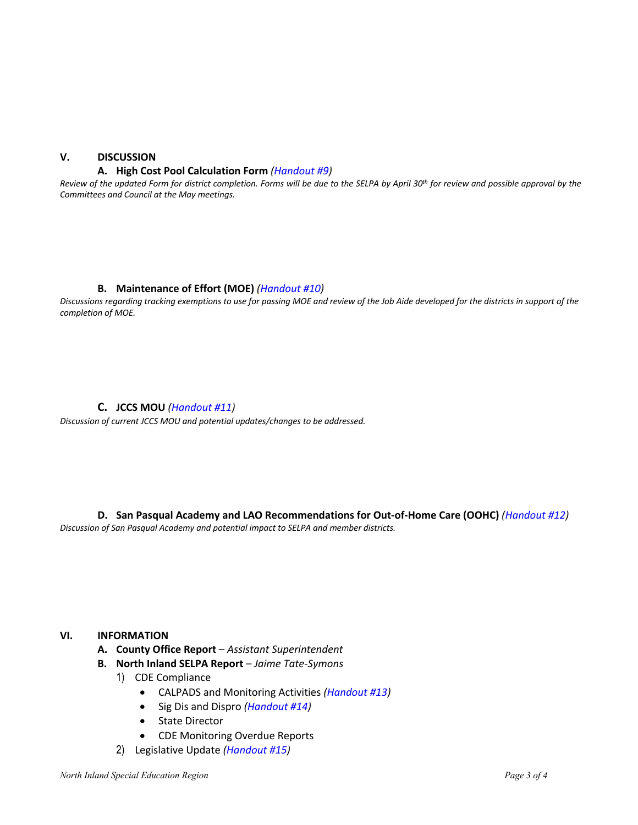## **V. DISCUSSION**

#### **A. High Cost Pool Calculation Form** *(Handout #9)*

*Review of the updated Form for district completion. Forms will be due to the SELPA by April 30th for review and possible approval by the Committees and Council at the May meetings.*

#### **B. Maintenance of Effort (MOE)** *(Handout #10)*

*Discussions regarding tracking exemptions to use for passing MOE and review of the Job Aide developed for the districts in support of the completion of MOE.*

#### **C. JCCS MOU** *(Handout #11)*

*Discussion of current JCCS MOU and potential updates/changes to be addressed.* 

**D. San Pasqual Academy and LAO Recommendations for Out-of-Home Care (OOHC)** *(Handout #12) Discussion of San Pasqual Academy and potential impact to SELPA and member districts.* 

## **VI. INFORMATION**

- **A. County Office Report** *Assistant Superintendent*
- **B. North Inland SELPA Report** *Jaime Tate-Symons*
	- 1) CDE Compliance
		- CALPADS and Monitoring Activities *(Handout #13)*
		- Sig Dis and Dispro *(Handout #14)*
		- State Director
		- CDE Monitoring Overdue Reports
	- 2) Legislative Update *(Handout #15)*